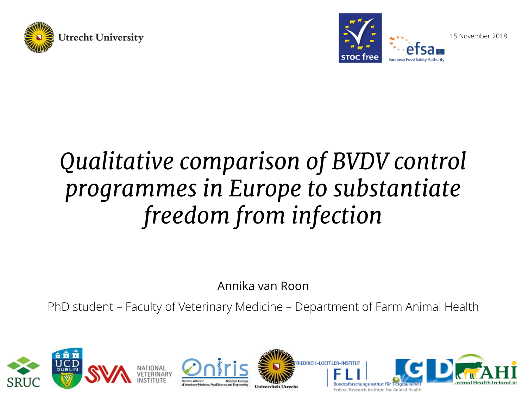



15 November 2018

# *Qualitative comparison of BVDV control programmes in Europe to substantiate freedom from infection*

Annika van Roon

PhD student – Faculty of Veterinary Medicine – Department of Farm Animal Health









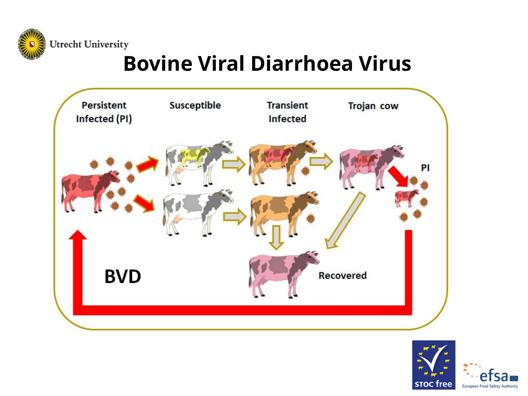**Utrecht University** 

## **Bovine Viral Diarrhoea Virus**



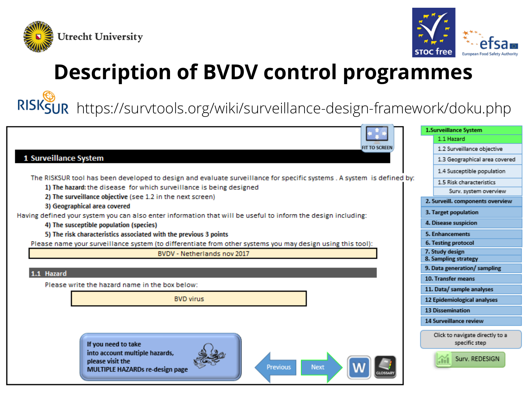



## **Description of BVDV control programmes**

RISKSUR https://survtools.org/wiki/surveillance-design-framework/doku.php

|                                                                                                                                                                                              | 1.Surveillance System                            |
|----------------------------------------------------------------------------------------------------------------------------------------------------------------------------------------------|--------------------------------------------------|
|                                                                                                                                                                                              | 1.1 Hazard                                       |
| <b>FIT TO SCREEN</b>                                                                                                                                                                         | 1.2 Surveillance objective                       |
| 1 Surveillance System                                                                                                                                                                        | 1.3 Geographical area covered                    |
|                                                                                                                                                                                              | 1.4 Susceptible population                       |
| The RISKSUR tool has been developed to design and evaluate surveillance for specific systems. A system is defined by:<br>1) The hazard: the disease for which surveillance is being designed | 1.5 Risk characteristics                         |
|                                                                                                                                                                                              | Surv. system overview                            |
| 2) The surveillance objective (see 1.2 in the next screen)<br>3) Geographical area covered                                                                                                   | 2. Surveill. components overview                 |
| Having defined your system you can also enter information that will be useful to inform the design including:                                                                                | 3. Target population                             |
| 4) The susceptible population (species)                                                                                                                                                      | 4. Disease suspicion                             |
| 5) The risk characteristics associated with the previous 3 points                                                                                                                            | 5. Enhancements                                  |
| Please name your surveillance system (to differentiate from other systems you may design using this tool):                                                                                   | 6. Testing protocol                              |
| BVDV - Netherlands nov 2017                                                                                                                                                                  | 7. Study design                                  |
|                                                                                                                                                                                              | 8. Sampling strategy                             |
| 1.1 Hazard                                                                                                                                                                                   | 9. Data generation/sampling                      |
| Please write the hazard name in the box below:                                                                                                                                               | 10. Transfer means                               |
|                                                                                                                                                                                              | 11. Data/ sample analyses                        |
| <b>BVD virus</b>                                                                                                                                                                             | 12 Epidemiological analyses                      |
|                                                                                                                                                                                              | <b>13 Dissemination</b>                          |
|                                                                                                                                                                                              | 14 Surveillance review                           |
| If you need to take                                                                                                                                                                          | Click to navigate directly to a<br>specific step |
| into account multiple hazards,<br>please visit the<br><b>Next</b><br>Previous<br>MULTIDLE HAZARDe re decign nage                                                                             | Surv. REDESIGN                                   |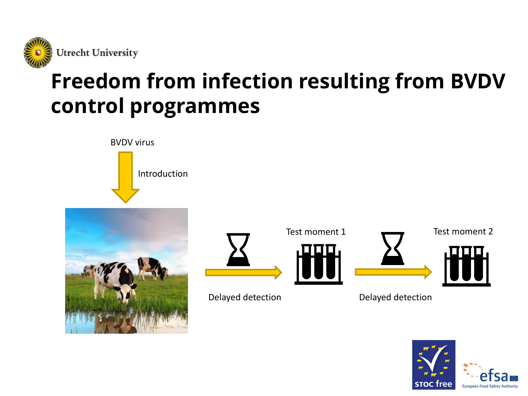

## **Freedom from infection resulting from BVDV control programmes**

BVDV virus

Introduction





Test moment 1 Test moment 2





Delayed detection Delayed detection

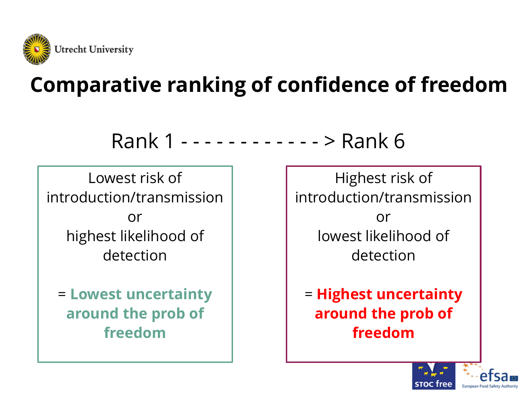

## **Comparative ranking of confidence of freedom**

Rank 1 - - - - - - - - - - - - > Rank 6

Lowest risk of introduction/transmission or highest likelihood of detection

= **Lowest uncertainty around the prob of freedom**

Highest risk of introduction/transmission or lowest likelihood of detection

= **Highest uncertainty around the prob of freedom**

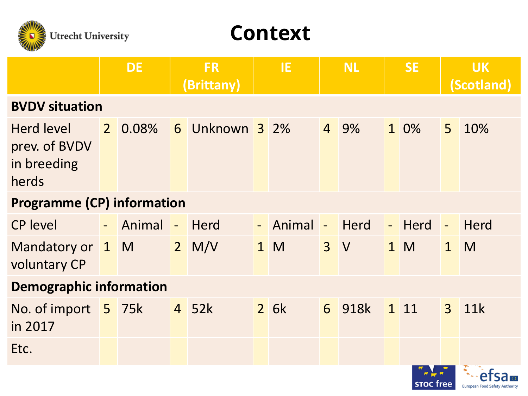

#### **Context**

|                                                            |  | <b>DE</b> | <b>FR</b><br>(Brittany) |              |  | IE.        |  | <b>NL</b> | <b>SE</b> |        |              | <b>UK</b><br>(Scotland) |
|------------------------------------------------------------|--|-----------|-------------------------|--------------|--|------------|--|-----------|-----------|--------|--------------|-------------------------|
| <b>BVDV situation</b>                                      |  |           |                         |              |  |            |  |           |           |        |              |                         |
| <b>Herd level</b><br>prev. of BVDV<br>in breeding<br>herds |  | 2 0.08%   | 6                       | Unknown 3 2% |  |            |  | 4 9%      |           | 1 0%   | 5            | 10%                     |
| <b>Programme (CP) information</b>                          |  |           |                         |              |  |            |  |           |           |        |              |                         |
| <b>CP level</b>                                            |  | - Animal  | $\mathbb{Z}^2$          | Herd         |  | - Animal - |  | Herd      |           | - Herd | $\Box$       | <b>Herd</b>             |
| Mandatory or 1 M<br>voluntary CP                           |  |           | $2$ M/V                 |              |  | 1 M        |  | 3V        |           | 1 M    | $\mathbf{1}$ | M                       |
| <b>Demographic information</b>                             |  |           |                         |              |  |            |  |           |           |        |              |                         |
| No. of import 5 75k<br>in 2017                             |  |           |                         | 4 52k        |  | 2.6k       |  | 6 918k    |           | 1 11   | $\mathbf{3}$ | 11k                     |
| Etc.                                                       |  |           |                         |              |  |            |  |           |           |        |              | $\blacksquare$          |

e1

**European Food Safety Authority** 

**STOC free**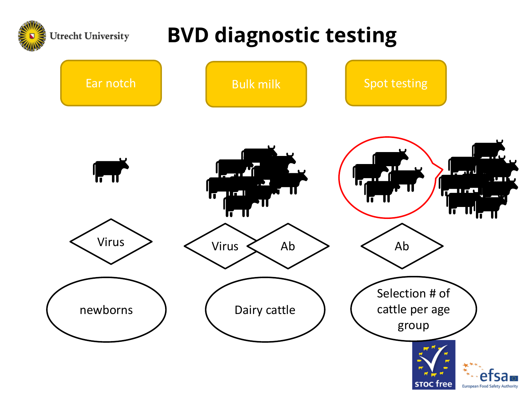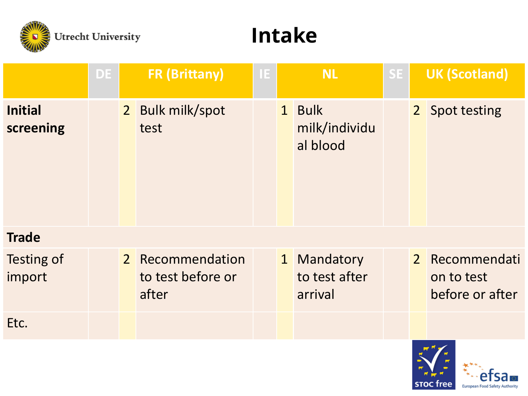

#### **Intake**

|                             | <b>DE</b> | <b>FR (Brittany)</b> |                                                | IE. |              | <b>NL</b>                             | SE. |  | <b>UK (Scotland)</b>                            |  |
|-----------------------------|-----------|----------------------|------------------------------------------------|-----|--------------|---------------------------------------|-----|--|-------------------------------------------------|--|
| <b>Initial</b><br>screening |           |                      | 2 Bulk milk/spot<br>test                       |     |              | 1 Bulk<br>milk/individu<br>al blood   |     |  | 2 Spot testing                                  |  |
| <b>Trade</b>                |           |                      |                                                |     |              |                                       |     |  |                                                 |  |
| Testing of<br>import        |           |                      | 2 Recommendation<br>to test before or<br>after |     | $\mathbf{1}$ | Mandatory<br>to test after<br>arrival |     |  | 2 Recommendati<br>on to test<br>before or after |  |
| Etc.                        |           |                      |                                                |     |              |                                       |     |  |                                                 |  |



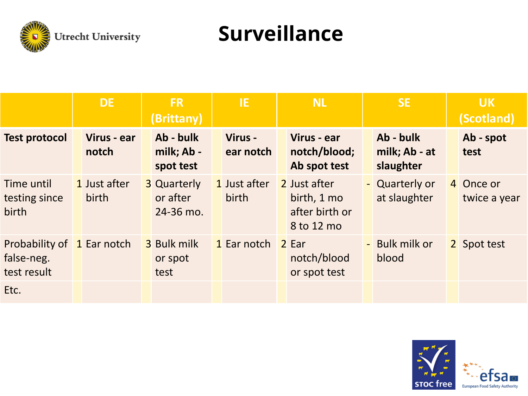

#### **Surveillance**

|                                                         | <b>DE</b>             | <b>FR</b><br>(Brittany) |                                             | IE. |                       | <b>NL</b> |                                                             |  | <b>SE</b>                               | <b>UK</b><br>(Scotland)   |
|---------------------------------------------------------|-----------------------|-------------------------|---------------------------------------------|-----|-----------------------|-----------|-------------------------------------------------------------|--|-----------------------------------------|---------------------------|
| <b>Test protocol</b>                                    | Virus - ear<br>notch  |                         | Ab - bulk<br>milk; Ab -<br>spot test        |     | Virus -<br>ear notch  |           | Virus - ear<br>notch/blood;<br>Ab spot test                 |  | Ab - bulk<br>milk; Ab - at<br>slaughter | Ab - spot<br>test         |
| Time until<br>testing since<br>birth                    | 1 Just after<br>birth |                         | <b>3 Quarterly</b><br>or after<br>24-36 mo. |     | 1 Just after<br>birth |           | 2 Just after<br>birth, 1 mo<br>after birth or<br>8 to 12 mo |  | - Quarterly or<br>at slaughter          | 4 Once or<br>twice a year |
| Probability of 1 Ear notch<br>false-neg.<br>test result |                       |                         | 3 Bulk milk<br>or spot<br>test              |     | 1 Ear notch           |           | 2 Ear<br>notch/blood<br>or spot test                        |  | - Bulk milk or<br>blood                 | 2 Spot test               |
| Etc.                                                    |                       |                         |                                             |     |                       |           |                                                             |  |                                         |                           |

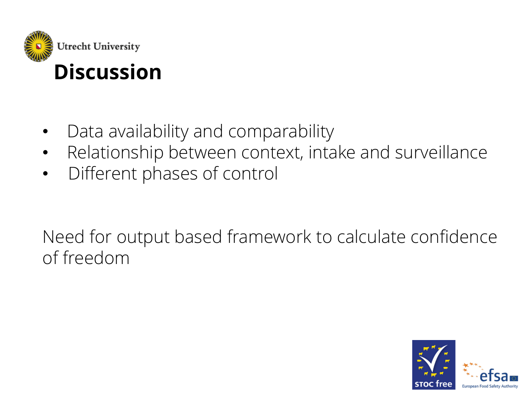

### **Discussion**

- Data availability and comparability
- Relationship between context, intake and surveillance
- Different phases of control

Need for output based framework to calculate confidence of freedom